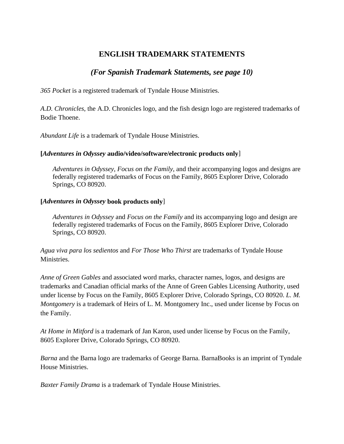# **ENGLISH TRADEMARK STATEMENTS**

# *(For Spanish Trademark Statements, see page 10)*

*365 Pocket* is a registered trademark of Tyndale House Ministries.

*A.D. Chronicles*, the A.D. Chronicles logo, and the fish design logo are registered trademarks of Bodie Thoene.

*Abundant Life* is a trademark of Tyndale House Ministries.

# **[***Adventures in Odyssey* **audio/video/software/electronic products only**]

*Adventures in Odyssey*, *Focus on the Family*, and their accompanying logos and designs are federally registered trademarks of Focus on the Family, 8605 Explorer Drive, Colorado Springs, CO 80920.

# **[***Adventures in Odyssey* **book products only**]

*Adventures in Odyssey* and *Focus on the Family* and its accompanying logo and design are federally registered trademarks of Focus on the Family, 8605 Explorer Drive, Colorado Springs, CO 80920.

*Agua viva para los sedientos* and *For Those Who Thirst* are trademarks of Tyndale House Ministries.

*Anne of Green Gables* and associated word marks, character names, logos, and designs are trademarks and Canadian official marks of the Anne of Green Gables Licensing Authority, used under license by Focus on the Family, 8605 Explorer Drive, Colorado Springs, CO 80920. *L. M. Montgomery* is a trademark of Heirs of L. M. Montgomery Inc., used under license by Focus on the Family.

*At Home in Mitford* is a trademark of Jan Karon, used under license by Focus on the Family, 8605 Explorer Drive, Colorado Springs, CO 80920.

*Barna* and the Barna logo are trademarks of George Barna. BarnaBooks is an imprint of Tyndale House Ministries.

*Baxter Family Drama* is a trademark of Tyndale House Ministries.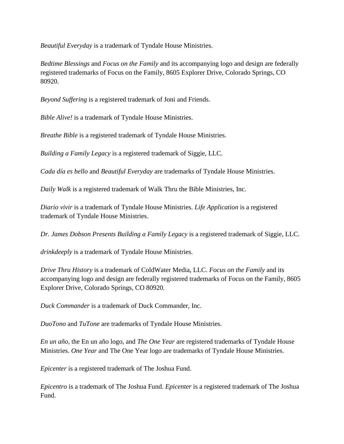*Beautiful Everyday* is a trademark of Tyndale House Ministries.

*Bedtime Blessings* and *Focus on the Family* and its accompanying logo and design are federally registered trademarks of Focus on the Family, 8605 Explorer Drive, Colorado Springs, CO 80920.

*Beyond Suffering* is a registered trademark of Joni and Friends.

*Bible Alive!* is a trademark of Tyndale House Ministries.

*Breathe Bible* is a registered trademark of Tyndale House Ministries.

*Building a Family Legacy* is a registered trademark of Siggie, LLC.

*Cada día es bello* and *Beautiful Everyday* are trademarks of Tyndale House Ministries.

*Daily Walk* is a registered trademark of Walk Thru the Bible Ministries, Inc.

*Diario vivir* is a trademark of Tyndale House Ministries. *Life Application* is a registered trademark of Tyndale House Ministries.

*Dr. James Dobson Presents Building a Family Legacy* is a registered trademark of Siggie, LLC.

*drinkdeeply* is a trademark of Tyndale House Ministries.

*Drive Thru History* is a trademark of ColdWater Media, LLC. *Focus on the Family* and its accompanying logo and design are federally registered trademarks of Focus on the Family, 8605 Explorer Drive, Colorado Springs, CO 80920.

*Duck Commander* is a trademark of Duck Commander, Inc.

*DuoTono* and *TuTone* are trademarks of Tyndale House Ministries.

*En un año*, the En un año logo, and *The One Year* are registered trademarks of Tyndale House Ministries. *One Year* and The One Year logo are trademarks of Tyndale House Ministries.

*Epicenter* is a registered trademark of The Joshua Fund.

*Epicentro* is a trademark of The Joshua Fund. *Epicenter* is a registered trademark of The Joshua Fund.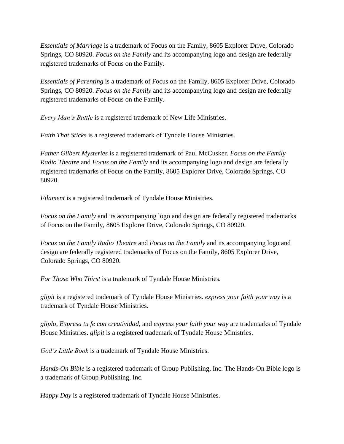*Essentials of Marriage* is a trademark of Focus on the Family, 8605 Explorer Drive, Colorado Springs, CO 80920. *Focus on the Family* and its accompanying logo and design are federally registered trademarks of Focus on the Family.

*Essentials of Parenting* is a trademark of Focus on the Family, 8605 Explorer Drive, Colorado Springs, CO 80920. *Focus on the Family* and its accompanying logo and design are federally registered trademarks of Focus on the Family.

*Every Man's Battle* is a registered trademark of New Life Ministries.

*Faith That Sticks* is a registered trademark of Tyndale House Ministries.

*Father Gilbert Mysteries* is a registered trademark of Paul McCusker. *Focus on the Family Radio Theatre* and *Focus on the Family* and its accompanying logo and design are federally registered trademarks of Focus on the Family, 8605 Explorer Drive, Colorado Springs, CO 80920.

*Filament* is a registered trademark of Tyndale House Ministries.

*Focus on the Family* and its accompanying logo and design are federally registered trademarks of Focus on the Family, 8605 Explorer Drive, Colorado Springs, CO 80920.

*Focus on the Family Radio Theatre* and *Focus on the Family* and its accompanying logo and design are federally registered trademarks of Focus on the Family, 8605 Explorer Drive, Colorado Springs, CO 80920.

*For Those Who Thirst* is a trademark of Tyndale House Ministries.

*glipit* is a registered trademark of Tyndale House Ministries. *express your faith your way* is a trademark of Tyndale House Ministries.

*gliplo*, *Expresa tu fe con creatividad*, and *express your faith your way* are trademarks of Tyndale House Ministries. *glipit* is a registered trademark of Tyndale House Ministries.

*God's Little Book* is a trademark of Tyndale House Ministries.

*Hands-On Bible* is a registered trademark of Group Publishing, Inc. The Hands-On Bible logo is a trademark of Group Publishing, Inc.

*Happy Day* is a registered trademark of Tyndale House Ministries.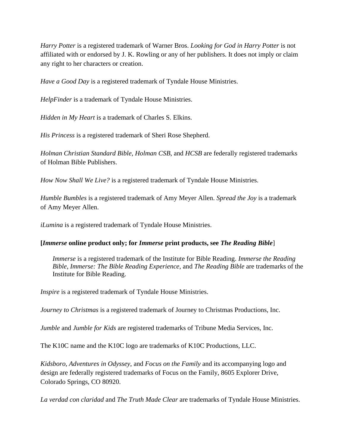*Harry Potter* is a registered trademark of Warner Bros. *Looking for God in Harry Potter* is not affiliated with or endorsed by J. K. Rowling or any of her publishers. It does not imply or claim any right to her characters or creation.

*Have a Good Day* is a registered trademark of Tyndale House Ministries.

*HelpFinder* is a trademark of Tyndale House Ministries.

*Hidden in My Heart* is a trademark of Charles S. Elkins.

*His Princess* is a registered trademark of Sheri Rose Shepherd.

*Holman Christian Standard Bible*, *Holman CSB*, and *HCSB* are federally registered trademarks of Holman Bible Publishers.

*How Now Shall We Live?* is a registered trademark of Tyndale House Ministries.

*Humble Bumbles* is a registered trademark of Amy Meyer Allen. *Spread the Joy* is a trademark of Amy Meyer Allen.

*iLumina* is a registered trademark of Tyndale House Ministries.

### **[***Immerse* **online product only; for** *Immerse* **print products, see** *The Reading Bible*]

*Immerse* is a registered trademark of the Institute for Bible Reading. *Immerse the Reading Bible*, *Immerse: The Bible Reading Experience*, and *The Reading Bible* are trademarks of the Institute for Bible Reading.

*Inspire* is a registered trademark of Tyndale House Ministries.

*Journey to Christmas* is a registered trademark of Journey to Christmas Productions, Inc.

*Jumble* and *Jumble for Kids* are registered trademarks of Tribune Media Services, Inc.

The K10C name and the K10C logo are trademarks of K10C Productions, LLC.

*Kidsboro*, *Adventures in Odyssey*, and *Focus on the Family* and its accompanying logo and design are federally registered trademarks of Focus on the Family, 8605 Explorer Drive, Colorado Springs, CO 80920.

*La verdad con claridad* and *The Truth Made Clear* are trademarks of Tyndale House Ministries.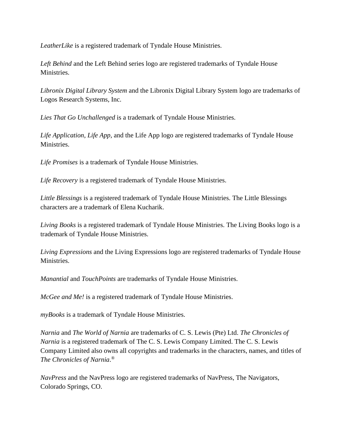LeatherLike is a registered trademark of Tyndale House Ministries.

*Left Behind* and the Left Behind series logo are registered trademarks of Tyndale House Ministries.

*Libronix Digital Library System* and the Libronix Digital Library System logo are trademarks of Logos Research Systems, Inc.

*Lies That Go Unchallenged* is a trademark of Tyndale House Ministries.

*Life Application*, *Life App*, and the Life App logo are registered trademarks of Tyndale House Ministries.

*Life Promises* is a trademark of Tyndale House Ministries.

*Life Recovery* is a registered trademark of Tyndale House Ministries.

*Little Blessings* is a registered trademark of Tyndale House Ministries. The Little Blessings characters are a trademark of Elena Kucharik.

*Living Books* is a registered trademark of Tyndale House Ministries. The Living Books logo is a trademark of Tyndale House Ministries.

*Living Expressions* and the Living Expressions logo are registered trademarks of Tyndale House Ministries.

*Manantial* and *TouchPoints* are trademarks of Tyndale House Ministries.

*McGee and Me!* is a registered trademark of Tyndale House Ministries.

*myBooks* is a trademark of Tyndale House Ministries.

*Narnia* and *The World of Narnia* are trademarks of C. S. Lewis (Pte) Ltd. *The Chronicles of Narnia* is a registered trademark of The C. S. Lewis Company Limited. The C. S. Lewis Company Limited also owns all copyrights and trademarks in the characters, names, and titles of *The Chronicles of Narnia*. ®

*NavPress* and the NavPress logo are registered trademarks of NavPress, The Navigators, Colorado Springs, CO.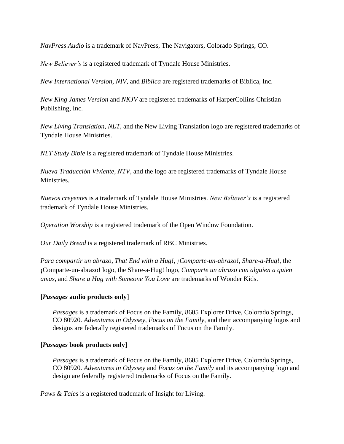*NavPress Audio* is a trademark of NavPress, The Navigators, Colorado Springs, CO.

*New Believer's* is a registered trademark of Tyndale House Ministries.

*New International Version, NIV*, and *Biblica* are registered trademarks of Biblica, Inc.

*New King James Version* and *NKJV* are registered trademarks of HarperCollins Christian Publishing, Inc.

*New Living Translation*, *NLT*, and the New Living Translation logo are registered trademarks of Tyndale House Ministries.

*NLT Study Bible* is a registered trademark of Tyndale House Ministries.

*Nueva Traducción Viviente*, *NTV*, and the logo are registered trademarks of Tyndale House Ministries.

*Nuevos creyentes* is a trademark of Tyndale House Ministries. *New Believer's* is a registered trademark of Tyndale House Ministries.

*Operation Worship* is a registered trademark of the Open Window Foundation.

*Our Daily Bread* is a registered trademark of RBC Ministries.

*Para compartir un abrazo*, *That End with a Hug!*, *¡Comparte-un-abrazo!*, *Share-a-Hug!*, the ¡Comparte-un-abrazo! logo, the Share-a-Hug! logo, *Comparte un abrazo con alguien a quien amas*, and *Share a Hug with Someone You Love* are trademarks of Wonder Kids.

## **[***Passages* **audio products only**]

*Passages* is a trademark of Focus on the Family, 8605 Explorer Drive, Colorado Springs, CO 80920. *Adventures in Odyssey*, *Focus on the Family*, and their accompanying logos and designs are federally registered trademarks of Focus on the Family.

## **[***Passages* **book products only**]

*Passages* is a trademark of Focus on the Family, 8605 Explorer Drive, Colorado Springs, CO 80920. *Adventures in Odyssey* and *Focus on the Family* and its accompanying logo and design are federally registered trademarks of Focus on the Family.

*Paws & Tales* is a registered trademark of Insight for Living.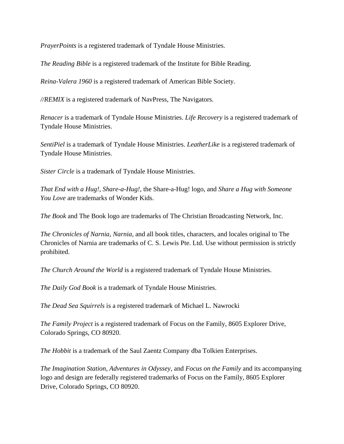*PrayerPoints* is a registered trademark of Tyndale House Ministries.

*The Reading Bible* is a registered trademark of the Institute for Bible Reading.

*Reina-Valera 1960* is a registered trademark of American Bible Society.

*//REMIX* is a registered trademark of NavPress, The Navigators.

*Renacer* is a trademark of Tyndale House Ministries. *Life Recovery* is a registered trademark of Tyndale House Ministries.

*SentiPiel* is a trademark of Tyndale House Ministries. *LeatherLike* is a registered trademark of Tyndale House Ministries.

*Sister Circle* is a trademark of Tyndale House Ministries.

*That End with a Hug!*, *Share-a-Hug!*, the Share-a-Hug! logo, and *Share a Hug with Someone You Love* are trademarks of Wonder Kids.

*The Book* and The Book logo are trademarks of The Christian Broadcasting Network, Inc.

*The Chronicles of Narnia*, *Narnia*, and all book titles, characters, and locales original to The Chronicles of Narnia are trademarks of C. S. Lewis Pte. Ltd. Use without permission is strictly prohibited.

*The Church Around the World* is a registered trademark of Tyndale House Ministries.

*The Daily God Book* is a trademark of Tyndale House Ministries.

*The Dead Sea Squirrels* is a registered trademark of Michael L. Nawrocki

*The Family Project* is a registered trademark of Focus on the Family, 8605 Explorer Drive, Colorado Springs, CO 80920.

*The Hobbit* is a trademark of the Saul Zaentz Company dba Tolkien Enterprises.

*The Imagination Station*, *Adventures in Odyssey*, and *Focus on the Family* and its accompanying logo and design are federally registered trademarks of Focus on the Family, 8605 Explorer Drive, Colorado Springs, CO 80920.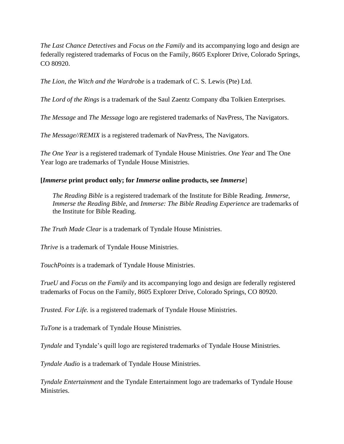*The Last Chance Detectives* and *Focus on the Family* and its accompanying logo and design are federally registered trademarks of Focus on the Family, 8605 Explorer Drive, Colorado Springs, CO 80920.

*The Lion, the Witch and the Wardrobe* is a trademark of C. S. Lewis (Pte) Ltd.

*The Lord of the Rings* is a trademark of the Saul Zaentz Company dba Tolkien Enterprises.

*The Message* and *The Message* logo are registered trademarks of NavPress, The Navigators.

*The Message//REMIX* is a registered trademark of NavPress, The Navigators.

*The One Year* is a registered trademark of Tyndale House Ministries. *One Year* and The One Year logo are trademarks of Tyndale House Ministries.

### **[***Immerse* **print product only; for** *Immerse* **online products, see** *Immerse*]

*The Reading Bible* is a registered trademark of the Institute for Bible Reading. *Immerse*, *Immerse the Reading Bible*, and *Immerse: The Bible Reading Experience* are trademarks of the Institute for Bible Reading.

*The Truth Made Clear* is a trademark of Tyndale House Ministries.

*Thrive* is a trademark of Tyndale House Ministries.

*TouchPoints* is a trademark of Tyndale House Ministries.

*TrueU* and *Focus on the Family* and its accompanying logo and design are federally registered trademarks of Focus on the Family, 8605 Explorer Drive, Colorado Springs, CO 80920.

*Trusted. For Life.* is a registered trademark of Tyndale House Ministries.

*TuTone* is a trademark of Tyndale House Ministries.

*Tyndale* and Tyndale's quill logo are registered trademarks of Tyndale House Ministries.

*Tyndale Audio* is a trademark of Tyndale House Ministries.

*Tyndale Entertainment* and the Tyndale Entertainment logo are trademarks of Tyndale House Ministries.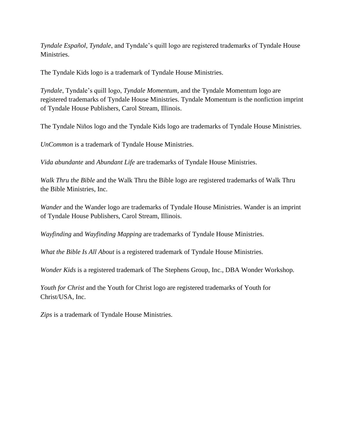*Tyndale Español*, *Tyndale*, and Tyndale's quill logo are registered trademarks of Tyndale House Ministries.

The Tyndale Kids logo is a trademark of Tyndale House Ministries.

*Tyndale*, Tyndale's quill logo, *Tyndale Momentum*, and the Tyndale Momentum logo are registered trademarks of Tyndale House Ministries. Tyndale Momentum is the nonfiction imprint of Tyndale House Publishers, Carol Stream, Illinois.

The Tyndale Niños logo and the Tyndale Kids logo are trademarks of Tyndale House Ministries.

*UnCommon* is a trademark of Tyndale House Ministries.

*Vida abundante* and *Abundant Life* are trademarks of Tyndale House Ministries.

*Walk Thru the Bible* and the Walk Thru the Bible logo are registered trademarks of Walk Thru the Bible Ministries, Inc.

*Wander* and the Wander logo are trademarks of Tyndale House Ministries. Wander is an imprint of Tyndale House Publishers, Carol Stream, Illinois.

*Wayfinding* and *Wayfinding Mapping* are trademarks of Tyndale House Ministries.

*What the Bible Is All About* is a registered trademark of Tyndale House Ministries.

*Wonder Kids* is a registered trademark of The Stephens Group, Inc., DBA Wonder Workshop.

*Youth for Christ* and the Youth for Christ logo are registered trademarks of Youth for Christ/USA, Inc.

*Zips* is a trademark of Tyndale House Ministries.